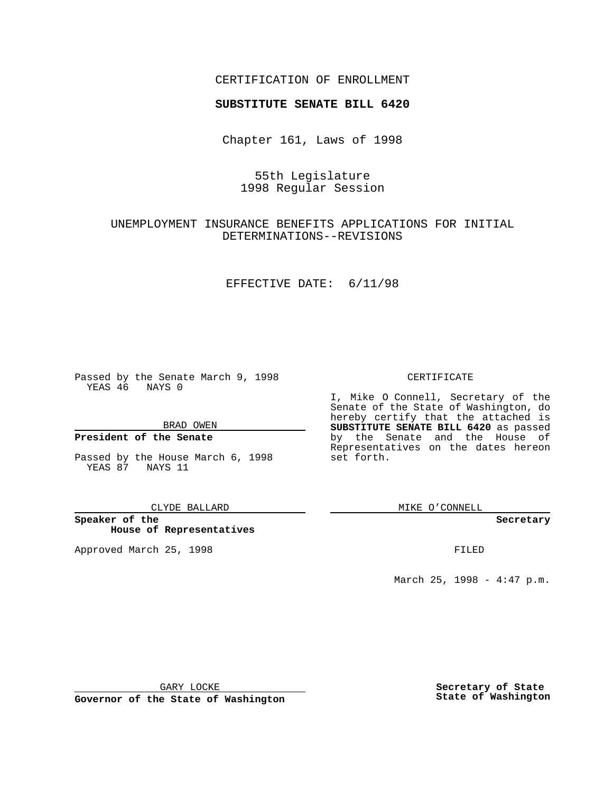## CERTIFICATION OF ENROLLMENT

# **SUBSTITUTE SENATE BILL 6420**

Chapter 161, Laws of 1998

## 55th Legislature 1998 Regular Session

# UNEMPLOYMENT INSURANCE BENEFITS APPLICATIONS FOR INITIAL DETERMINATIONS--REVISIONS

### EFFECTIVE DATE: 6/11/98

Passed by the Senate March 9, 1998 YEAS 46 NAYS 0

BRAD OWEN

### **President of the Senate**

Passed by the House March 6, 1998 YEAS 87 NAYS 11

CLYDE BALLARD

**Speaker of the House of Representatives**

Approved March 25, 1998 **FILED** 

### CERTIFICATE

I, Mike O Connell, Secretary of the Senate of the State of Washington, do hereby certify that the attached is **SUBSTITUTE SENATE BILL 6420** as passed by the Senate and the House of Representatives on the dates hereon set forth.

MIKE O'CONNELL

#### **Secretary**

March 25, 1998 - 4:47 p.m.

GARY LOCKE

**Governor of the State of Washington**

**Secretary of State State of Washington**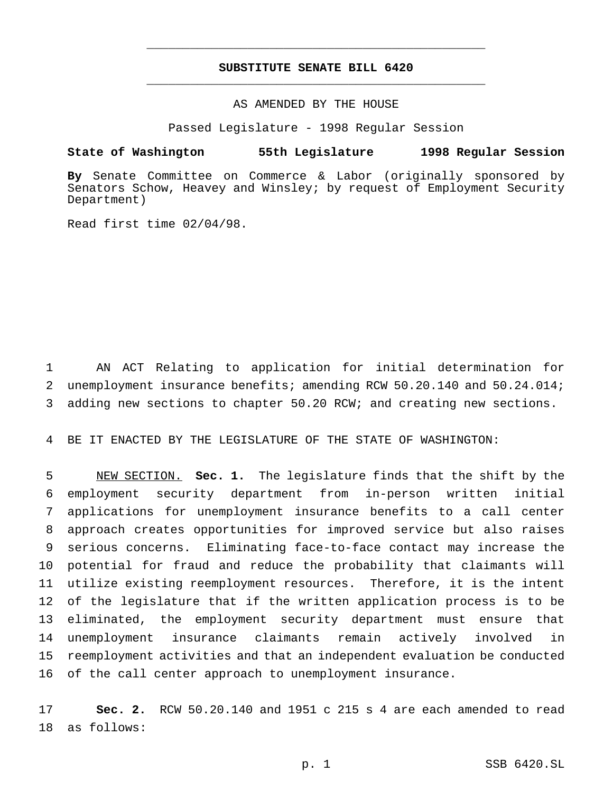## **SUBSTITUTE SENATE BILL 6420** \_\_\_\_\_\_\_\_\_\_\_\_\_\_\_\_\_\_\_\_\_\_\_\_\_\_\_\_\_\_\_\_\_\_\_\_\_\_\_\_\_\_\_\_\_\_\_

\_\_\_\_\_\_\_\_\_\_\_\_\_\_\_\_\_\_\_\_\_\_\_\_\_\_\_\_\_\_\_\_\_\_\_\_\_\_\_\_\_\_\_\_\_\_\_

### AS AMENDED BY THE HOUSE

Passed Legislature - 1998 Regular Session

### **State of Washington 55th Legislature 1998 Regular Session**

**By** Senate Committee on Commerce & Labor (originally sponsored by Senators Schow, Heavey and Winsley; by request of Employment Security Department)

Read first time 02/04/98.

 AN ACT Relating to application for initial determination for unemployment insurance benefits; amending RCW 50.20.140 and 50.24.014; adding new sections to chapter 50.20 RCW; and creating new sections.

BE IT ENACTED BY THE LEGISLATURE OF THE STATE OF WASHINGTON:

 NEW SECTION. **Sec. 1.** The legislature finds that the shift by the employment security department from in-person written initial applications for unemployment insurance benefits to a call center approach creates opportunities for improved service but also raises serious concerns. Eliminating face-to-face contact may increase the potential for fraud and reduce the probability that claimants will utilize existing reemployment resources. Therefore, it is the intent of the legislature that if the written application process is to be eliminated, the employment security department must ensure that unemployment insurance claimants remain actively involved in reemployment activities and that an independent evaluation be conducted of the call center approach to unemployment insurance.

 **Sec. 2.** RCW 50.20.140 and 1951 c 215 s 4 are each amended to read as follows: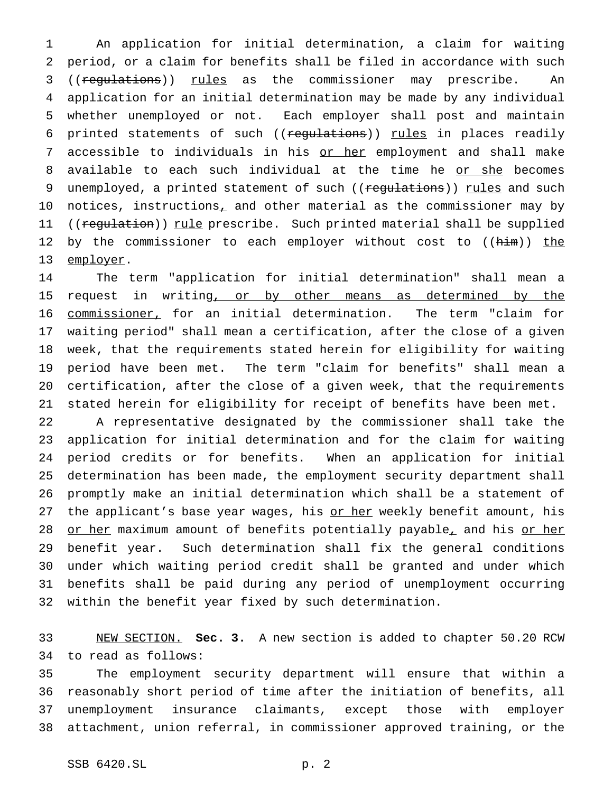An application for initial determination, a claim for waiting period, or a claim for benefits shall be filed in accordance with such 3 ((regulations)) rules as the commissioner may prescribe. An application for an initial determination may be made by any individual whether unemployed or not. Each employer shall post and maintain 6 printed statements of such ((regulations)) rules in places readily 7 accessible to individuals in his or her employment and shall make 8 available to each such individual at the time he or she becomes 9 unemployed, a printed statement of such ((regulations)) rules and such 10 notices, instructions, and other material as the commissioner may by 11 ((regulation)) rule prescribe. Such printed material shall be supplied 12 by the commissioner to each employer without cost to ((him)) the employer.

 The term "application for initial determination" shall mean a 15 request in writing, or by other means as determined by the commissioner, for an initial determination. The term "claim for waiting period" shall mean a certification, after the close of a given week, that the requirements stated herein for eligibility for waiting period have been met. The term "claim for benefits" shall mean a certification, after the close of a given week, that the requirements stated herein for eligibility for receipt of benefits have been met.

 A representative designated by the commissioner shall take the application for initial determination and for the claim for waiting period credits or for benefits. When an application for initial determination has been made, the employment security department shall promptly make an initial determination which shall be a statement of 27 the applicant's base year wages, his or her weekly benefit amount, his 28 or her maximum amount of benefits potentially payable, and his or her benefit year. Such determination shall fix the general conditions under which waiting period credit shall be granted and under which benefits shall be paid during any period of unemployment occurring within the benefit year fixed by such determination.

 NEW SECTION. **Sec. 3.** A new section is added to chapter 50.20 RCW to read as follows:

 The employment security department will ensure that within a reasonably short period of time after the initiation of benefits, all unemployment insurance claimants, except those with employer attachment, union referral, in commissioner approved training, or the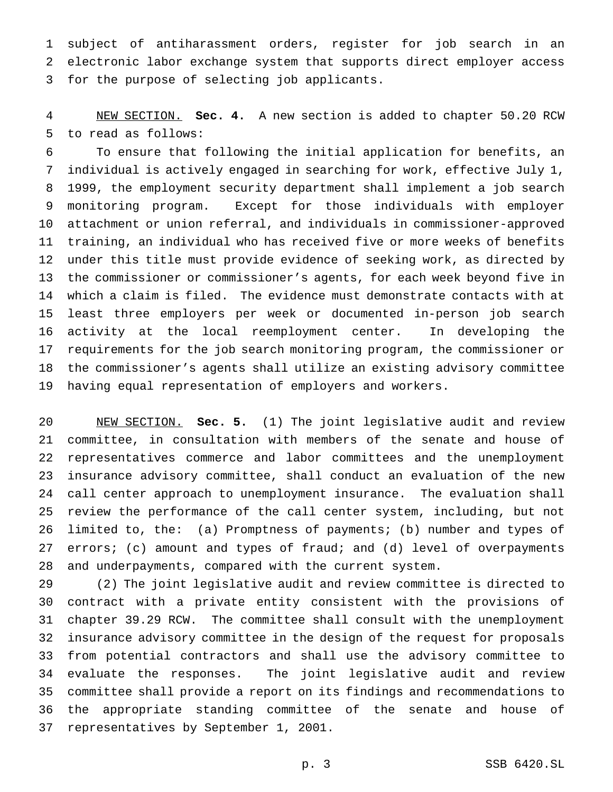subject of antiharassment orders, register for job search in an electronic labor exchange system that supports direct employer access for the purpose of selecting job applicants.

 NEW SECTION. **Sec. 4.** A new section is added to chapter 50.20 RCW to read as follows:

 To ensure that following the initial application for benefits, an individual is actively engaged in searching for work, effective July 1, 1999, the employment security department shall implement a job search monitoring program. Except for those individuals with employer attachment or union referral, and individuals in commissioner-approved training, an individual who has received five or more weeks of benefits under this title must provide evidence of seeking work, as directed by the commissioner or commissioner's agents, for each week beyond five in which a claim is filed. The evidence must demonstrate contacts with at least three employers per week or documented in-person job search activity at the local reemployment center. In developing the requirements for the job search monitoring program, the commissioner or the commissioner's agents shall utilize an existing advisory committee having equal representation of employers and workers.

 NEW SECTION. **Sec. 5.** (1) The joint legislative audit and review committee, in consultation with members of the senate and house of representatives commerce and labor committees and the unemployment insurance advisory committee, shall conduct an evaluation of the new call center approach to unemployment insurance. The evaluation shall review the performance of the call center system, including, but not limited to, the: (a) Promptness of payments; (b) number and types of 27 errors; (c) amount and types of fraud; and (d) level of overpayments and underpayments, compared with the current system.

 (2) The joint legislative audit and review committee is directed to contract with a private entity consistent with the provisions of chapter 39.29 RCW. The committee shall consult with the unemployment insurance advisory committee in the design of the request for proposals from potential contractors and shall use the advisory committee to evaluate the responses. The joint legislative audit and review committee shall provide a report on its findings and recommendations to the appropriate standing committee of the senate and house of representatives by September 1, 2001.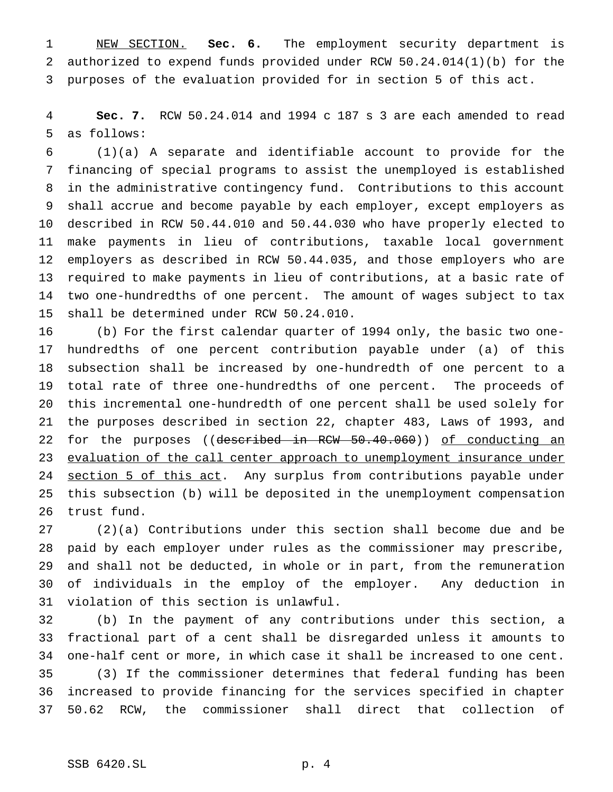NEW SECTION. **Sec. 6.** The employment security department is authorized to expend funds provided under RCW 50.24.014(1)(b) for the purposes of the evaluation provided for in section 5 of this act.

 **Sec. 7.** RCW 50.24.014 and 1994 c 187 s 3 are each amended to read as follows:

 (1)(a) A separate and identifiable account to provide for the financing of special programs to assist the unemployed is established in the administrative contingency fund. Contributions to this account shall accrue and become payable by each employer, except employers as described in RCW 50.44.010 and 50.44.030 who have properly elected to make payments in lieu of contributions, taxable local government employers as described in RCW 50.44.035, and those employers who are required to make payments in lieu of contributions, at a basic rate of two one-hundredths of one percent. The amount of wages subject to tax shall be determined under RCW 50.24.010.

 (b) For the first calendar quarter of 1994 only, the basic two one- hundredths of one percent contribution payable under (a) of this subsection shall be increased by one-hundredth of one percent to a total rate of three one-hundredths of one percent. The proceeds of this incremental one-hundredth of one percent shall be used solely for the purposes described in section 22, chapter 483, Laws of 1993, and 22 for the purposes ((described in RCW 50.40.060)) of conducting an 23 evaluation of the call center approach to unemployment insurance under 24 section 5 of this act. Any surplus from contributions payable under this subsection (b) will be deposited in the unemployment compensation trust fund.

 (2)(a) Contributions under this section shall become due and be paid by each employer under rules as the commissioner may prescribe, and shall not be deducted, in whole or in part, from the remuneration of individuals in the employ of the employer. Any deduction in violation of this section is unlawful.

 (b) In the payment of any contributions under this section, a fractional part of a cent shall be disregarded unless it amounts to one-half cent or more, in which case it shall be increased to one cent. (3) If the commissioner determines that federal funding has been increased to provide financing for the services specified in chapter 50.62 RCW, the commissioner shall direct that collection of